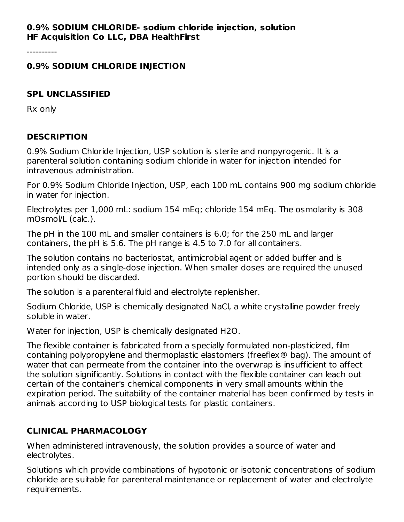### **0.9% SODIUM CHLORIDE- sodium chloride injection, solution HF Acquisition Co LLC, DBA HealthFirst**

----------

#### **0.9% SODIUM CHLORIDE INJECTION**

#### **SPL UNCLASSIFIED**

Rx only

## **DESCRIPTION**

0.9% Sodium Chloride Injection, USP solution is sterile and nonpyrogenic. It is a parenteral solution containing sodium chloride in water for injection intended for intravenous administration.

For 0.9% Sodium Chloride Injection, USP, each 100 mL contains 900 mg sodium chloride in water for injection.

Electrolytes per 1,000 mL: sodium 154 mEq; chloride 154 mEq. The osmolarity is 308 mOsmol/L (calc.).

The pH in the 100 mL and smaller containers is 6.0; for the 250 mL and larger containers, the pH is 5.6. The pH range is 4.5 to 7.0 for all containers.

The solution contains no bacteriostat, antimicrobial agent or added buffer and is intended only as a single-dose injection. When smaller doses are required the unused portion should be discarded.

The solution is a parenteral fluid and electrolyte replenisher.

Sodium Chloride, USP is chemically designated NaCl, a white crystalline powder freely soluble in water.

Water for injection, USP is chemically designated H2O.

The flexible container is fabricated from a specially formulated non-plasticized, film containing polypropylene and thermoplastic elastomers (freeflex® bag). The amount of water that can permeate from the container into the overwrap is insufficient to affect the solution significantly. Solutions in contact with the flexible container can leach out certain of the container's chemical components in very small amounts within the expiration period. The suitability of the container material has been confirmed by tests in animals according to USP biological tests for plastic containers.

## **CLINICAL PHARMACOLOGY**

When administered intravenously, the solution provides a source of water and electrolytes.

Solutions which provide combinations of hypotonic or isotonic concentrations of sodium chloride are suitable for parenteral maintenance or replacement of water and electrolyte requirements.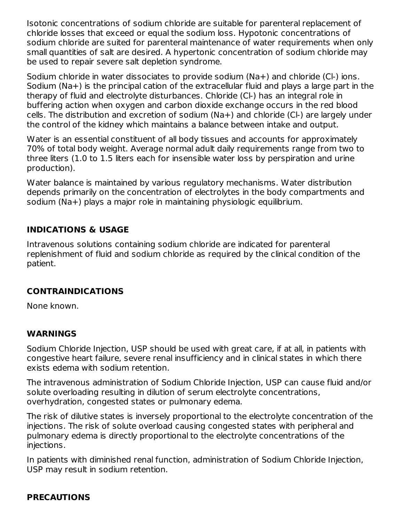Isotonic concentrations of sodium chloride are suitable for parenteral replacement of chloride losses that exceed or equal the sodium loss. Hypotonic concentrations of sodium chloride are suited for parenteral maintenance of water requirements when only small quantities of salt are desired. A hypertonic concentration of sodium chloride may be used to repair severe salt depletion syndrome.

Sodium chloride in water dissociates to provide sodium (Na+) and chloride (Cl-) ions. Sodium (Na+) is the principal cation of the extracellular fluid and plays a large part in the therapy of fluid and electrolyte disturbances. Chloride (Cl-) has an integral role in buffering action when oxygen and carbon dioxide exchange occurs in the red blood cells. The distribution and excretion of sodium (Na+) and chloride (Cl-) are largely under the control of the kidney which maintains a balance between intake and output.

Water is an essential constituent of all body tissues and accounts for approximately 70% of total body weight. Average normal adult daily requirements range from two to three liters (1.0 to 1.5 liters each for insensible water loss by perspiration and urine production).

Water balance is maintained by various regulatory mechanisms. Water distribution depends primarily on the concentration of electrolytes in the body compartments and sodium (Na+) plays a major role in maintaining physiologic equilibrium.

## **INDICATIONS & USAGE**

Intravenous solutions containing sodium chloride are indicated for parenteral replenishment of fluid and sodium chloride as required by the clinical condition of the patient.

## **CONTRAINDICATIONS**

None known.

### **WARNINGS**

Sodium Chloride Injection, USP should be used with great care, if at all, in patients with congestive heart failure, severe renal insufficiency and in clinical states in which there exists edema with sodium retention.

The intravenous administration of Sodium Chloride Injection, USP can cause fluid and/or solute overloading resulting in dilution of serum electrolyte concentrations, overhydration, congested states or pulmonary edema.

The risk of dilutive states is inversely proportional to the electrolyte concentration of the injections. The risk of solute overload causing congested states with peripheral and pulmonary edema is directly proportional to the electrolyte concentrations of the injections.

In patients with diminished renal function, administration of Sodium Chloride Injection, USP may result in sodium retention.

## **PRECAUTIONS**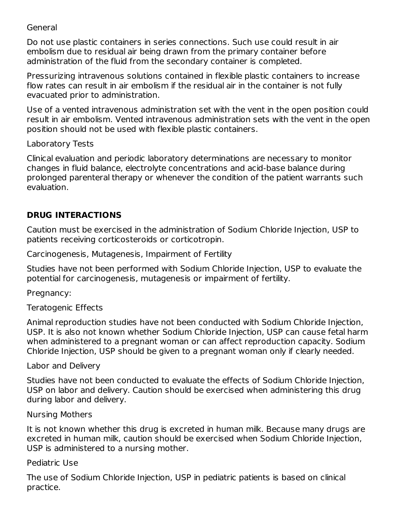#### General

Do not use plastic containers in series connections. Such use could result in air embolism due to residual air being drawn from the primary container before administration of the fluid from the secondary container is completed.

Pressurizing intravenous solutions contained in flexible plastic containers to increase flow rates can result in air embolism if the residual air in the container is not fully evacuated prior to administration.

Use of a vented intravenous administration set with the vent in the open position could result in air embolism. Vented intravenous administration sets with the vent in the open position should not be used with flexible plastic containers.

Laboratory Tests

Clinical evaluation and periodic laboratory determinations are necessary to monitor changes in fluid balance, electrolyte concentrations and acid-base balance during prolonged parenteral therapy or whenever the condition of the patient warrants such evaluation.

## **DRUG INTERACTIONS**

Caution must be exercised in the administration of Sodium Chloride Injection, USP to patients receiving corticosteroids or corticotropin.

Carcinogenesis, Mutagenesis, Impairment of Fertility

Studies have not been performed with Sodium Chloride Injection, USP to evaluate the potential for carcinogenesis, mutagenesis or impairment of fertility.

Pregnancy:

Teratogenic Effects

Animal reproduction studies have not been conducted with Sodium Chloride Injection, USP. It is also not known whether Sodium Chloride Injection, USP can cause fetal harm when administered to a pregnant woman or can affect reproduction capacity. Sodium Chloride Injection, USP should be given to a pregnant woman only if clearly needed.

Labor and Delivery

Studies have not been conducted to evaluate the effects of Sodium Chloride Injection, USP on labor and delivery. Caution should be exercised when administering this drug during labor and delivery.

Nursing Mothers

It is not known whether this drug is excreted in human milk. Because many drugs are excreted in human milk, caution should be exercised when Sodium Chloride Injection, USP is administered to a nursing mother.

Pediatric Use

The use of Sodium Chloride Injection, USP in pediatric patients is based on clinical practice.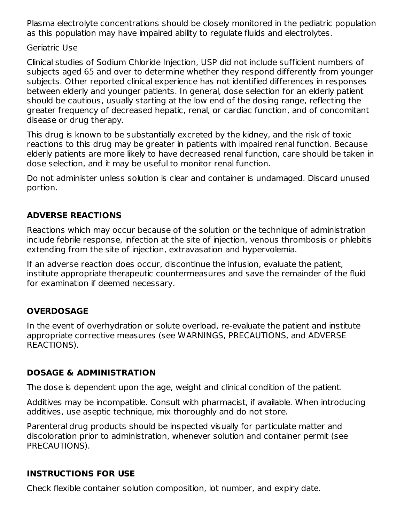Plasma electrolyte concentrations should be closely monitored in the pediatric population as this population may have impaired ability to regulate fluids and electrolytes.

#### Geriatric Use

Clinical studies of Sodium Chloride Injection, USP did not include sufficient numbers of subjects aged 65 and over to determine whether they respond differently from younger subjects. Other reported clinical experience has not identified differences in responses between elderly and younger patients. In general, dose selection for an elderly patient should be cautious, usually starting at the low end of the dosing range, reflecting the greater frequency of decreased hepatic, renal, or cardiac function, and of concomitant disease or drug therapy.

This drug is known to be substantially excreted by the kidney, and the risk of toxic reactions to this drug may be greater in patients with impaired renal function. Because elderly patients are more likely to have decreased renal function, care should be taken in dose selection, and it may be useful to monitor renal function.

Do not administer unless solution is clear and container is undamaged. Discard unused portion.

## **ADVERSE REACTIONS**

Reactions which may occur because of the solution or the technique of administration include febrile response, infection at the site of injection, venous thrombosis or phlebitis extending from the site of injection, extravasation and hypervolemia.

If an adverse reaction does occur, discontinue the infusion, evaluate the patient, institute appropriate therapeutic countermeasures and save the remainder of the fluid for examination if deemed necessary.

## **OVERDOSAGE**

In the event of overhydration or solute overload, re-evaluate the patient and institute appropriate corrective measures (see WARNINGS, PRECAUTIONS, and ADVERSE REACTIONS).

## **DOSAGE & ADMINISTRATION**

The dose is dependent upon the age, weight and clinical condition of the patient.

Additives may be incompatible. Consult with pharmacist, if available. When introducing additives, use aseptic technique, mix thoroughly and do not store.

Parenteral drug products should be inspected visually for particulate matter and discoloration prior to administration, whenever solution and container permit (see PRECAUTIONS).

## **INSTRUCTIONS FOR USE**

Check flexible container solution composition, lot number, and expiry date.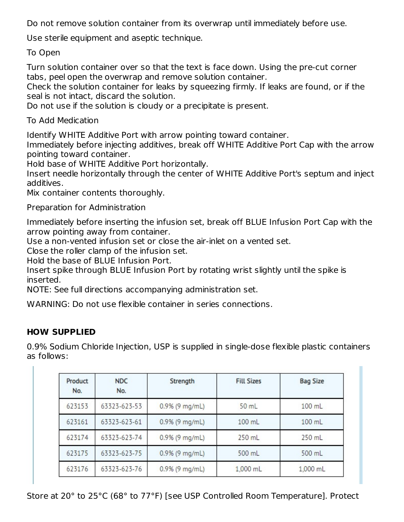Do not remove solution container from its overwrap until immediately before use.

Use sterile equipment and aseptic technique.

To Open

Turn solution container over so that the text is face down. Using the pre-cut corner tabs, peel open the overwrap and remove solution container.

Check the solution container for leaks by squeezing firmly. If leaks are found, or if the seal is not intact, discard the solution.

Do not use if the solution is cloudy or a precipitate is present.

To Add Medication

Identify WHITE Additive Port with arrow pointing toward container.

Immediately before injecting additives, break off WHITE Additive Port Cap with the arrow pointing toward container.

Hold base of WHITE Additive Port horizontally.

Insert needle horizontally through the center of WHITE Additive Port's septum and inject additives.

Mix container contents thoroughly.

Preparation for Administration

Immediately before inserting the infusion set, break off BLUE Infusion Port Cap with the arrow pointing away from container.

Use a non-vented infusion set or close the air-inlet on a vented set.

Close the roller clamp of the infusion set.

Hold the base of BLUE Infusion Port.

Insert spike through BLUE Infusion Port by rotating wrist slightly until the spike is inserted.

NOTE: See full directions accompanying administration set.

WARNING: Do not use flexible container in series connections.

## **HOW SUPPLIED**

0.9% Sodium Chloride Injection, USP is supplied in single-dose flexible plastic containers as follows:

| Product<br>No. | <b>NDC</b><br>No. | Strength          | <b>Fill Sizes</b> | <b>Bag Size</b> |
|----------------|-------------------|-------------------|-------------------|-----------------|
| 623153         | 63323-623-53      | $0.9\%$ (9 mg/mL) | 50 mL             | 100 mL          |
| 623161         | 63323-623-61      | $0.9%$ (9 mg/mL)  | 100 mL            | 100 mL          |
| 623174         | 63323-623-74      | $0.9\%$ (9 mg/mL) | 250 mL            | 250 mL          |
| 623175         | 63323-623-75      | $0.9%$ (9 mg/mL)  | 500 mL            | 500 mL          |
| 623176         | 63323-623-76      | 0.9% (9 mg/mL)    | 1,000 mL          | 1,000 mL        |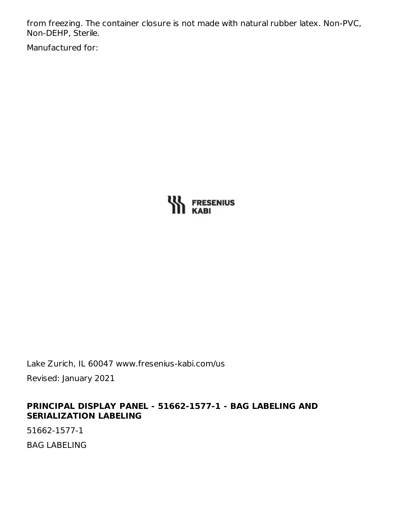from freezing. The container closure is not made with natural rubber latex. Non-PVC, Non-DEHP, Sterile.

Manufactured for:



Lake Zurich, IL 60047 www.fresenius-kabi.com/us Revised: January 2021

#### **PRINCIPAL DISPLAY PANEL - 51662-1577-1 - BAG LABELING AND SERIALIZATION LABELING**

51662-1577-1

BAG LABELING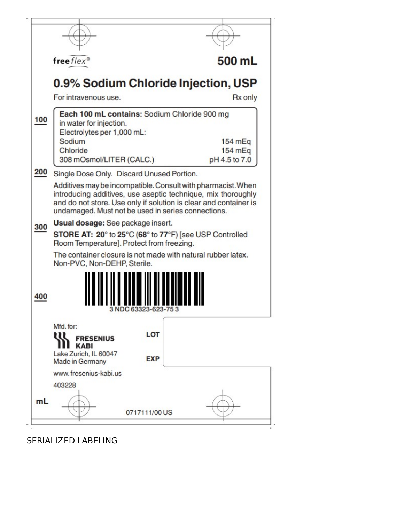|     | free $flex^{\circledcirc}$                                                                                                                                                                       | 500 mL                   |
|-----|--------------------------------------------------------------------------------------------------------------------------------------------------------------------------------------------------|--------------------------|
|     |                                                                                                                                                                                                  |                          |
|     | 0.9% Sodium Chloride Injection, USP                                                                                                                                                              |                          |
|     | For intravenous use.                                                                                                                                                                             | <b>Rx</b> only           |
| 100 | Each 100 mL contains: Sodium Chloride 900 mg<br>in water for injection.                                                                                                                          |                          |
|     | Electrolytes per 1,000 mL:                                                                                                                                                                       |                          |
|     | Sodium                                                                                                                                                                                           | 154 mEq                  |
|     | Chloride<br>308 mOsmol/LITER (CALC.)                                                                                                                                                             | 154 mEq<br>pH 4.5 to 7.0 |
| 200 | Single Dose Only. Discard Unused Portion.                                                                                                                                                        |                          |
|     | Additives may be incompatible. Consult with pharmacist. When<br>introducing additives, use aseptic technique, mix thoroughly<br>and do not store. Use only if solution is clear and container is |                          |
|     | undamaged. Must not be used in series connections.                                                                                                                                               |                          |
| 300 |                                                                                                                                                                                                  |                          |
|     | Usual dosage: See package insert.                                                                                                                                                                |                          |
|     | STORE AT: 20° to 25°C (68° to 77°F) [see USP Controlled                                                                                                                                          |                          |
|     | Room Temperature]. Protect from freezing.<br>The container closure is not made with natural rubber latex.<br>Non-PVC, Non-DEHP, Sterile.                                                         |                          |
| 400 |                                                                                                                                                                                                  |                          |
|     | Mfd. for:                                                                                                                                                                                        |                          |
|     | LOT<br><b>FRESENIUS</b>                                                                                                                                                                          |                          |
|     | <b>KABI</b>                                                                                                                                                                                      |                          |
|     | Lake Zurich, IL 60047<br><b>EXP</b><br><b>Made in Germany</b>                                                                                                                                    |                          |
|     | www.fresenius-kabi.us                                                                                                                                                                            |                          |
|     | 403228                                                                                                                                                                                           |                          |
| mL  |                                                                                                                                                                                                  |                          |

## SERIALIZED LABELING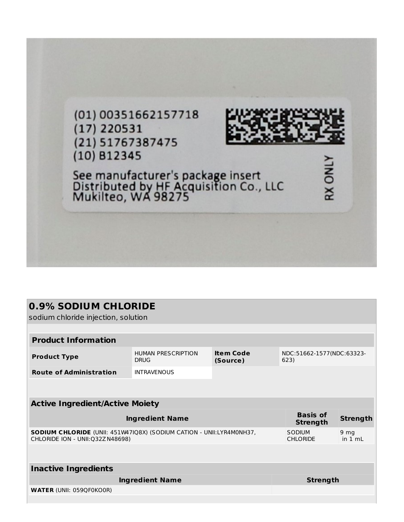

# **0.9% SODIUM CHLORIDE**

sodium chloride injection, solution

**WATER** (UNII: 059QF0KO0R)

#### **Product Information Product Type** HUMAN PRESCRIPTION DRUG **Item Code (Source)** NDC:51662-1577(NDC:63323- 623) **Route of Administration** INTRAVENOUS **Active Ingredient/Active Moiety Ingredient Name Basis of Strength Strength SODIUM CHLORIDE** (UNII: 451W47IQ8X) (SODIUM CATION - UNII:LYR4M0NH37, CHLORIDE ION - UNII:Q32ZN48698) SODIUM CHLORIDE 9 mg in 1 mL **Inactive Ingredients Ingredient Name Strength**